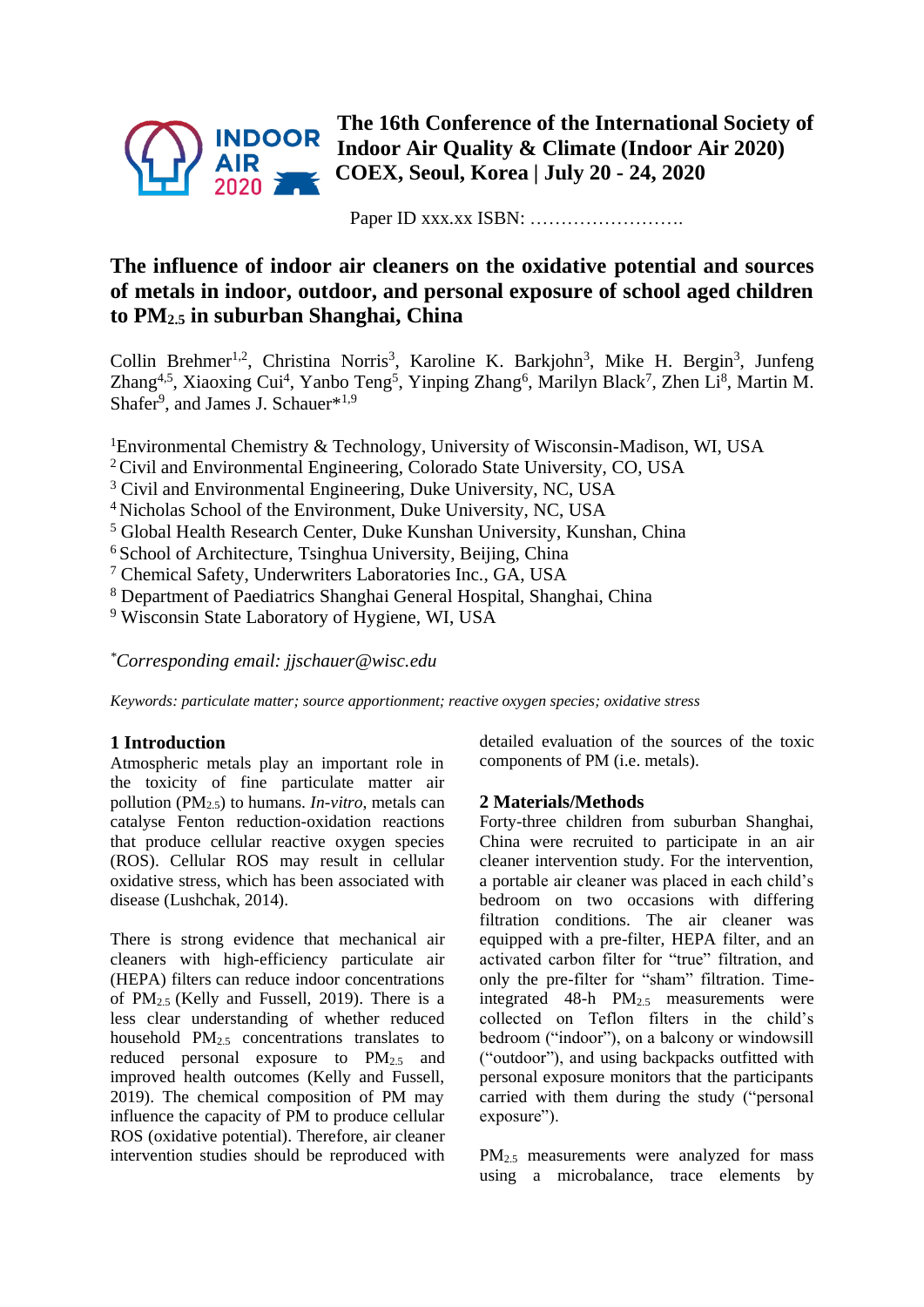

**The 16th Conference of the International Society of Indoor Air Quality & Climate (Indoor Air 2020) COEX, Seoul, Korea | July 20 - 24, 2020**

Paper ID xxx.xx ISBN: …………………….

# **The influence of indoor air cleaners on the oxidative potential and sources of metals in indoor, outdoor, and personal exposure of school aged children to PM2.5 in suburban Shanghai, China**

Collin Brehmer<sup>1,2</sup>, Christina Norris<sup>3</sup>, Karoline K. Barkjohn<sup>3</sup>, Mike H. Bergin<sup>3</sup>, Junfeng Zhang<sup>4,5</sup>, Xiaoxing Cui<sup>4</sup>, Yanbo Teng<sup>5</sup>, Yinping Zhang<sup>6</sup>, Marilyn Black<sup>7</sup>, Zhen Li<sup>8</sup>, Martin M. Shafer<sup>9</sup>, and James J. Schauer\*<sup>1,9</sup>

<sup>1</sup>Environmental Chemistry & Technology, University of Wisconsin-Madison, WI, USA

- <sup>2</sup> Civil and Environmental Engineering, Colorado State University, CO, USA
- <sup>3</sup> Civil and Environmental Engineering, Duke University, NC, USA
- <sup>4</sup> Nicholas School of the Environment, Duke University, NC, USA
- <sup>5</sup> Global Health Research Center, Duke Kunshan University, Kunshan, China

<sup>6</sup> School of Architecture, Tsinghua University, Beijing, China

<sup>7</sup> Chemical Safety, Underwriters Laboratories Inc., GA, USA

<sup>8</sup> Department of Paediatrics Shanghai General Hospital, Shanghai, China

<sup>9</sup> Wisconsin State Laboratory of Hygiene, WI, USA

*\*Corresponding email: jjschauer@wisc.edu*

*Keywords: particulate matter; source apportionment; reactive oxygen species; oxidative stress*

# **1 Introduction**

Atmospheric metals play an important role in the toxicity of fine particulate matter air pollution ( $PM<sub>2.5</sub>$ ) to humans. *In-vitro*, metals can catalyse Fenton reduction-oxidation reactions that produce cellular reactive oxygen species (ROS). Cellular ROS may result in cellular oxidative stress, which has been associated with disease (Lushchak, 2014).

There is strong evidence that mechanical air cleaners with high-efficiency particulate air (HEPA) filters can reduce indoor concentrations of PM2.5 (Kelly and Fussell, 2019). There is a less clear understanding of whether reduced household PM2.5 concentrations translates to reduced personal exposure to  $PM_{2.5}$  and improved health outcomes (Kelly and Fussell, 2019). The chemical composition of PM may influence the capacity of PM to produce cellular ROS (oxidative potential). Therefore, air cleaner intervention studies should be reproduced with

detailed evaluation of the sources of the toxic components of PM (i.e. metals).

#### **2 Materials/Methods**

Forty-three children from suburban Shanghai, China were recruited to participate in an air cleaner intervention study. For the intervention, a portable air cleaner was placed in each child's bedroom on two occasions with differing filtration conditions. The air cleaner was equipped with a pre-filter, HEPA filter, and an activated carbon filter for "true" filtration, and only the pre-filter for "sham" filtration. Timeintegrated  $48-h$  PM<sub>2.5</sub> measurements were collected on Teflon filters in the child's bedroom ("indoor"), on a balcony or windowsill ("outdoor"), and using backpacks outfitted with personal exposure monitors that the participants carried with them during the study ("personal exposure").

PM<sub>2.5</sub> measurements were analyzed for mass using a microbalance, trace elements by